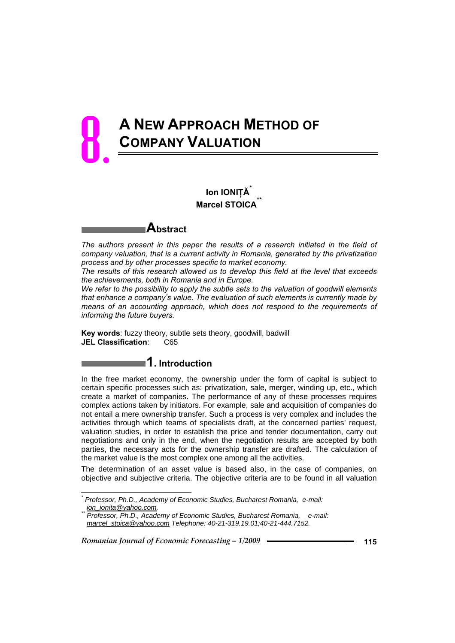# **A NEW APPROACH METHOD OF COMPANY VALUATION** 8.

# **Ion IONIŢĂ**\* **Marcel STOICA**



*The authors present in this paper the results of a research initiated in the field of company valuation, that is a current activity in Romania, generated by the privatization process and by other processes specific to market economy.* 

*The results of this research allowed us to develop this field at the level that exceeds the achievements, both in Romania and in Europe.* 

*We refer to the possibility to apply the subtle sets to the valuation of goodwill elements that enhance a company's value. The evaluation of such elements is currently made by means of an accounting approach, which does not respond to the requirements of informing the future buyers.* 

**Key words**: fuzzy theory, subtle sets theory, goodwill, badwill **JEL Classification**: C65

# **1. Introduction**

In the free market economy, the ownership under the form of capital is subject to certain specific processes such as: privatization, sale, merger, winding up, etc., which create a market of companies. The performance of any of these processes requires complex actions taken by initiators. For example, sale and acquisition of companies do not entail a mere ownership transfer. Such a process is very complex and includes the activities through which teams of specialists draft, at the concerned parties' request, valuation studies, in order to establish the price and tender documentation, carry out negotiations and only in the end, when the negotiation results are accepted by both parties, the necessary acts for the ownership transfer are drafted. The calculation of the market value is the most complex one among all the activities.

The determination of an asset value is based also, in the case of companies, on objective and subjective criteria. The objective criteria are to be found in all valuation

*Romanian Journal of Economic Forecasting – 1/2009* **115**

l

*<sup>\*</sup> Professor, Ph.D., Academy of Economic Studies, Bucharest Romania, e-mail:* 

*<sup>&</sup>lt;i>Professor, Ph.D., Academy of Economic Studies, Bucharest Romania, e-mail: marcel\_stoica@yahoo.com Telephone: 40-21-319.19.01;40-21-444.7152.*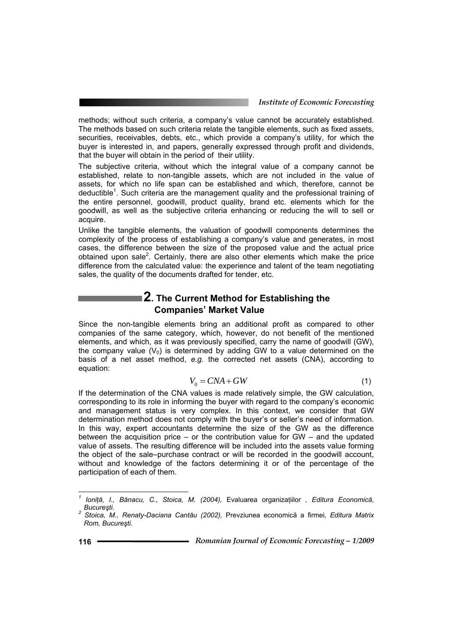methods; without such criteria, a company's value cannot be accurately established. The methods based on such criteria relate the tangible elements, such as fixed assets, securities, receivables, debts, etc., which provide a company's utility, for which the buyer is interested in, and papers, generally expressed through profit and dividends, that the buyer will obtain in the period of their utility.

The subjective criteria, without which the integral value of a company cannot be established, relate to non-tangible assets, which are not included in the value of assets, for which no life span can be established and which, therefore, cannot be deductible<sup>1</sup>. Such criteria are the management quality and the professional training of the entire personnel, goodwill, product quality, brand etc. elements which for the goodwill, as well as the subjective criteria enhancing or reducing the will to sell or acquire.

Unlike the tangible elements, the valuation of goodwill components determines the complexity of the process of establishing a company's value and generates, in most cases, the difference between the size of the proposed value and the actual price obtained upon sale<sup>2</sup>. Certainly, there are also other elements which make the price difference from the calculated value: the experience and talent of the team negotiating sales, the quality of the documents drafted for tender, etc.

## **2. The Current Method for Establishing the Companies' Market Value**

Since the non-tangible elements bring an additional profit as compared to other companies of the same category, which, however, do not benefit of the mentioned elements, and which, as it was previously specified, carry the name of goodwill (GW), the company value  $(V_0)$  is determined by adding GW to a value determined on the basis of a net asset method, *e.g.* the corrected net assets (CNA), according to equation:

$$
V_0 = CNA + GW \tag{1}
$$

If the determination of the CNA values is made relatively simple, the GW calculation, corresponding to its role in informing the buyer with regard to the company's economic and management status is very complex. In this context, we consider that GW determination method does not comply with the buyer's or seller's need of information. In this way, expert accountants determine the size of the GW as the difference between the acquisition price – or the contribution value for GW – and the updated value of assets. The resulting difference will be included into the assets value forming the object of the sale–purchase contract or will be recorded in the goodwill account, without and knowledge of the factors determining it or of the percentage of the participation of each of them.

j

*<sup>1</sup> Ioniţă, I., Bănacu, C., Stoica, M. (2004),* Evaluarea organizaţiilor *, Editura Economică, Bucureşti. 2 Stoica, M., Renaty-Daciana Cantău (2002),* Prevziunea economică a firmei*, Editura Matrix* 

*Rom, Bucureşti.*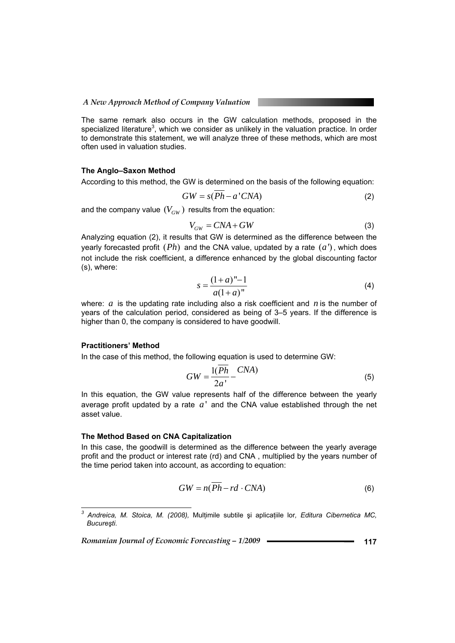The same remark also occurs in the GW calculation methods, proposed in the specialized literature<sup>3</sup>, which we consider as unlikely in the valuation practice. In order to demonstrate this statement, we will analyze three of these methods, which are most often used in valuation studies.

#### **The Anglo–Saxon Method**

According to this method, the GW is determined on the basis of the following equation:

$$
GW = s(Ph - a'CNA)
$$
 (2)

and the company value  $(V_{GW})$  results from the equation:

$$
V_{GW} = CNA + GW \tag{3}
$$

Analyzing equation (2), it results that GW is determined as the difference between the yearly forecasted profit  $( Ph)$  and the CNA value, updated by a rate  $(a')$ , which does not include the risk coefficient, a difference enhanced by the global discounting factor (s), where:

$$
s = \frac{(1+a)^n - 1}{a(1+a)^n}
$$
 (4)

where: *a* is the updating rate including also a risk coefficient and *n* is the number of years of the calculation period, considered as being of 3–5 years. If the difference is higher than 0, the company is considered to have goodwill.

#### **Practitioners' Method**

In the case of this method, the following equation is used to determine GW:

$$
GW = \frac{1(Ph)}{2a'} - \frac{CNA}{}
$$
\n<sup>(5)</sup>

In this equation, the GW value represents half of the difference between the yearly average profit updated by a rate  $a'$  and the CNA value established through the net asset value.

#### **The Method Based on CNA Capitalization**

In this case, the goodwill is determined as the difference between the yearly average profit and the product or interest rate (rd) and CNA , multiplied by the years number of the time period taken into account, as according to equation:

$$
GW = n(Ph - rd \cdot CNA) \tag{6}
$$

*Romanian Journal of Economic Forecasting – 1/2009* **117**

 *3 Andreica, M. Stoica, M. (2008),* Mulţimile subtile şi aplicaţiile lor*, Editura Cibernetica MC, Bucureşti.*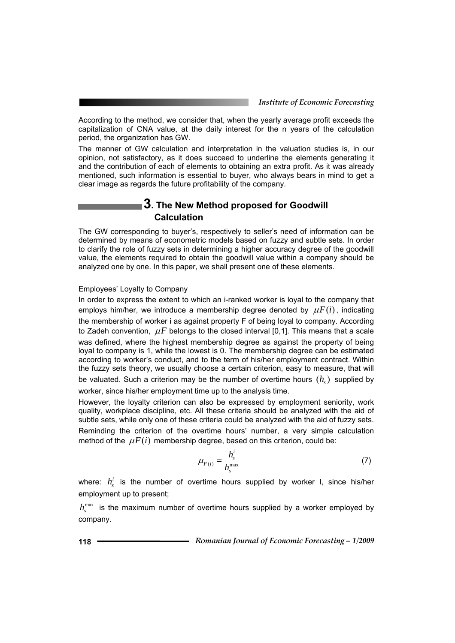According to the method, we consider that, when the yearly average profit exceeds the capitalization of CNA value, at the daily interest for the n years of the calculation period, the organization has GW.

The manner of GW calculation and interpretation in the valuation studies is, in our opinion, not satisfactory, as it does succeed to underline the elements generating it and the contribution of each of elements to obtaining an extra profit. As it was already mentioned, such information is essential to buyer, who always bears in mind to get a clear image as regards the future profitability of the company.

### **3. The New Method proposed for Goodwill Calculation**

The GW corresponding to buyer's, respectively to seller's need of information can be determined by means of econometric models based on fuzzy and subtle sets. In order to clarify the role of fuzzy sets in determining a higher accuracy degree of the goodwill value, the elements required to obtain the goodwill value within a company should be analyzed one by one. In this paper, we shall present one of these elements.

#### Employees' Loyalty to Company

In order to express the extent to which an i-ranked worker is loyal to the company that employs him/her, we introduce a membership degree denoted by  $\mu F(i)$ , indicating the membership of worker i as against property F of being loyal to company. According to Zadeh convention,  $\mu F$  belongs to the closed interval [0,1]. This means that a scale was defined, where the highest membership degree as against the property of being loyal to company is 1, while the lowest is 0. The membership degree can be estimated according to worker's conduct, and to the term of his/her employment contract. Within the fuzzy sets theory, we usually choose a certain criterion, easy to measure, that will be valuated. Such a criterion may be the number of overtime hours  $(h_n)$  supplied by worker, since his/her employment time up to the analysis time.

However, the loyalty criterion can also be expressed by employment seniority, work quality, workplace discipline, etc. All these criteria should be analyzed with the aid of subtle sets, while only one of these criteria could be analyzed with the aid of fuzzy sets. Reminding the criterion of the overtime hours' number, a very simple calculation method of the  $\mu F(i)$  membership degree, based on this criterion, could be:

$$
\mu_{F(i)} = \frac{h_s^i}{h_s^{\max}}\tag{7}
$$

where:  $h_i^i$  is the number of overtime hours supplied by worker I, since his/her employment up to present;

 $h^{max}$  is the maximum number of overtime hours supplied by a worker employed by company.

**118** *Romanian Journal of Economic Forecasting – 1/2009*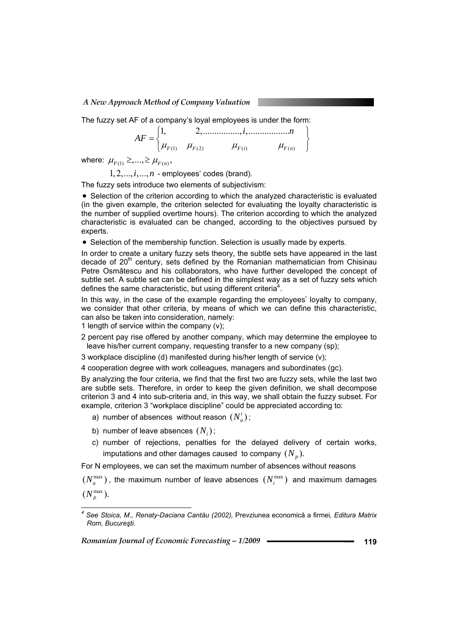The fuzzy set AF of a company's loyal employees is under the form:

$$
AF = \begin{Bmatrix} 1, & 2, \dots, i, & n \\ \mu_{F(1)} & \mu_{F(2)} & \mu_{F(i)} & \mu_{F(n)} \end{Bmatrix}
$$

where:  $\mu_{F(1)} \geq, ..., \geq \mu_{F(n)}$ ,

 $1, 2, \ldots, i, \ldots, n$  - employees' codes (brand).

The fuzzy sets introduce two elements of subjectivism:

• Selection of the criterion according to which the analyzed characteristic is evaluated (in the given example, the criterion selected for evaluating the loyalty characteristic is the number of supplied overtime hours). The criterion according to which the analyzed characteristic is evaluated can be changed, according to the objectives pursued by experts.

• Selection of the membership function. Selection is usually made by experts.

In order to create a unitary fuzzy sets theory, the subtle sets have appeared in the last decade of  $20<sup>th</sup>$  century, sets defined by the Romanian mathematician from Chisinau Petre Osmătescu and his collaborators, who have further developed the concept of subtle set. A subtle set can be defined in the simplest way as a set of fuzzy sets which defines the same characteristic, but using different criteria<sup>4</sup>.

In this way, in the case of the example regarding the employees' loyalty to company, we consider that other criteria, by means of which we can define this characteristic, can also be taken into consideration, namely:

1 length of service within the company (v);

2 percent pay rise offered by another company, which may determine the employee to leave his/her current company, requesting transfer to a new company (sp);

3 workplace discipline (d) manifested during his/her length of service (v);

4 cooperation degree with work colleagues, managers and subordinates (gc).

By analyzing the four criteria, we find that the first two are fuzzy sets, while the last two are subtle sets. Therefore, in order to keep the given definition, we shall decompose criterion 3 and 4 into sub-criteria and, in this way, we shall obtain the fuzzy subset. For example, criterion 3 "workplace discipline" could be appreciated according to:

- a) number of absences without reason  $(N_{a}^{i})$ ;
- b) number of leave absences  $(N_i)$ :

*Rom, Bucureşti.* 

c) number of rejections, penalties for the delayed delivery of certain works, imputations and other damages caused to company  $(N_n)$ .

For N employees, we can set the maximum number of absences without reasons

 $(N_a^{\text{max}})$ , the maximum number of leave absences  $(N_i^{\text{max}})$  and maximum damages  $(N_p^{\max})$ .

*Romanian Journal of Economic Forecasting – 1/2009* **119**

 *4 See Stoica, M., Renaty-Daciana Cantău (2002),* Prevziunea economică a firmei*, Editura Matrix*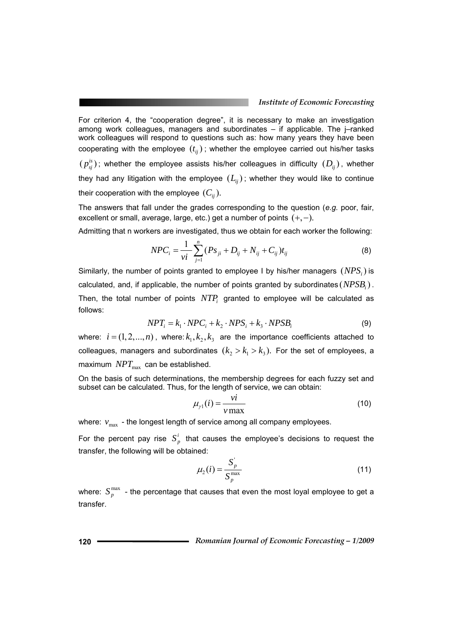For criterion 4, the "cooperation degree", it is necessary to make an investigation among work colleagues, managers and subordinates – if applicable. The j–ranked work colleagues will respond to questions such as: how many years they have been cooperating with the employee  $(t_{ij})$ ; whether the employee carried out his/her tasks  $(p_{\scriptscriptstyle{ij}}^{\scriptscriptstyle{is}})$ ; whether the employee assists his/her colleagues in difficulty  $(D_{\scriptscriptstyle{ij}})$ , whether they had any litigation with the employee  $(L_{ii})$ ; whether they would like to continue their cooperation with the employee  $(C_{ii})$ .

The answers that fall under the grades corresponding to the question (*e.g.* poor, fair, excellent or small, average, large, etc.) get a number of points  $(+,-)$ .

Admitting that n workers are investigated, thus we obtain for each worker the following:

$$
NPC_i = \frac{1}{vi} \sum_{j=1}^{n} (Ps_{ji} + D_{ij} + N_{ij} + C_{ij})t_{ij}
$$
 (8)

Similarly, the number of points granted to employee I by his/her managers  $(NPS<sub>i</sub>)$  is calculated, and, if applicable, the number of points granted by subordinates  $(NPSB<sub>i</sub>)$ . Then, the total number of points  $NTP_i$  granted to employee will be calculated as follows:

$$
NPT_i = k_1 \cdot NPC_i + k_2 \cdot NPS_i + k_3 \cdot NPSB_i \tag{9}
$$

where:  $i = (1, 2, ..., n)$ , where:  $k_1, k_2, k_3$  are the importance coefficients attached to colleagues, managers and subordinates  $(k_2 > k_1 > k_2)$ . For the set of employees, a maximum  $NPT_{\text{max}}$  can be established.

On the basis of such determinations, the membership degrees for each fuzzy set and subset can be calculated. Thus, for the length of service, we can obtain:

$$
\mu_{\gamma 1}(i) = \frac{vi}{v \max} \tag{10}
$$

where:  $v_{\text{max}}$  - the longest length of service among all company employees.

For the percent pay rise  $S_p^i$  that causes the employee's decisions to request the transfer, the following will be obtained:

$$
\mu_2(i) = \frac{S_p^{\top}}{S_p^{\max}}
$$
\n(11)

where:  $S_{p}^{\max}$  - the percentage that causes that even the most loyal employee to get a transfer.

**120** *Romanian Journal of Economic Forecasting – 1/2009*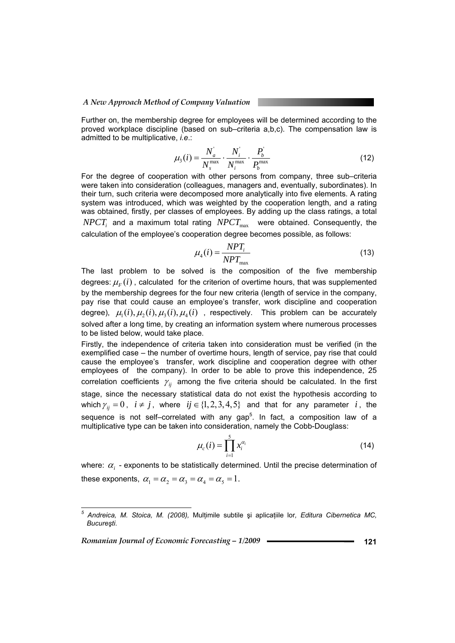Further on, the membership degree for employees will be determined according to the proved workplace discipline (based on sub–criteria a,b,c). The compensation law is admitted to be multiplicative, *i.e*.:

$$
\mu_3(i) = \frac{N_a^i}{N_s^{\max}} \cdot \frac{N_i^i}{N_i^{\max}} \cdot \frac{P_b^i}{P_b^{\max}}
$$
(12)

For the degree of cooperation with other persons from company, three sub–criteria were taken into consideration (colleagues, managers and, eventually, subordinates). In their turn, such criteria were decomposed more analytically into five elements. A rating system was introduced, which was weighted by the cooperation length, and a rating was obtained, firstly, per classes of employees. By adding up the class ratings, a total  $NPCT_i$  and a maximum total rating  $NPCT_{\text{max}}$  were obtained. Consequently, the calculation of the employee's cooperation degree becomes possible, as follows:

$$
\mu_4(i) = \frac{NPT_i}{NPT_{\text{max}}}
$$
\n(13)

The last problem to be solved is the composition of the five membership degrees:  $\mu_{\rm F}(i)$ , calculated for the criterion of overtime hours, that was supplemented by the membership degrees for the four new criteria (length of service in the company, pay rise that could cause an employee's transfer, work discipline and cooperation degree),  $\mu_1(i), \mu_2(i), \mu_3(i), \mu_4(i)$ , respectively. This problem can be accurately solved after a long time, by creating an information system where numerous processes to be listed below, would take place.

Firstly, the independence of criteria taken into consideration must be verified (in the exemplified case – the number of overtime hours, length of service, pay rise that could cause the employee's transfer, work discipline and cooperation degree with other employees of the company). In order to be able to prove this independence, 25 correlation coefficients  $\gamma_{ii}$  among the five criteria should be calculated. In the first stage, since the necessary statistical data do not exist the hypothesis according to which  $\gamma_{ii} = 0$ ,  $i \neq j$ , where  $ij \in \{1, 2, 3, 4, 5\}$  and that for any parameter *i*, the sequence is not self-correlated with any gap<sup>5</sup>. In fact, a composition law of a multiplicative type can be taken into consideration, namely the Cobb-Douglass:

$$
\mu_c(i) = \prod_{i=1}^5 x_i^{\alpha_i} \tag{14}
$$

where: <sup>α</sup>*i* - exponents to be statistically determined. Until the precise determination of these exponents,  $\alpha_1 = \alpha_2 = \alpha_3 = \alpha_4 = \alpha_5 = 1$ .

*Romanian Journal of Economic Forecasting – 1/2009* **121**

 *5 Andreica, M. Stoica, M. (2008),* Mulţimile subtile şi aplicaţiile lor*, Editura Cibernetica MC, Bucureşti.*